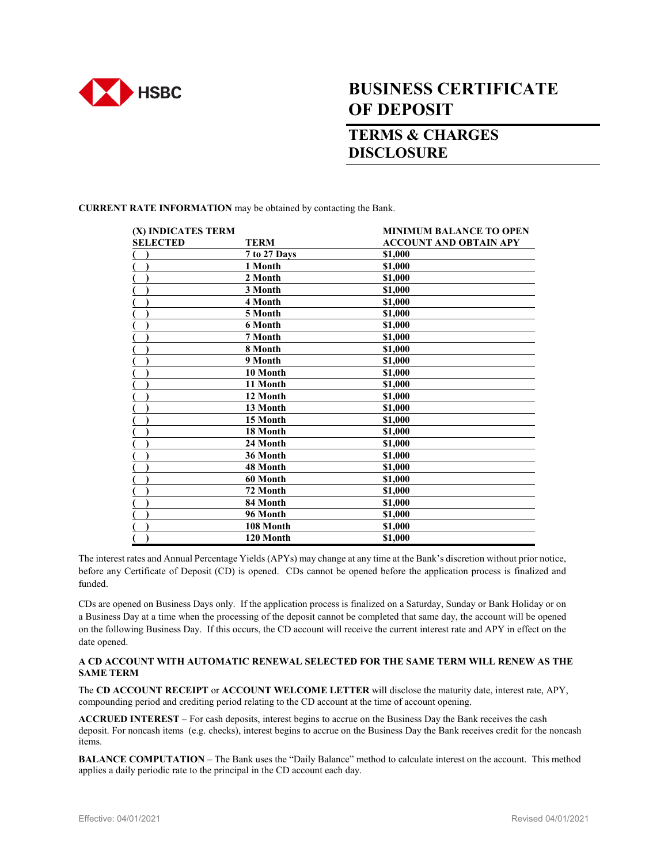

## **BUSINESS CERTIFICATE OF DEPOSIT**

## **TERMS & CHARGES DISCLOSURE**

**CURRENT RATE INFORMATION** may be obtained by contacting the Bank.

| (X) INDICATES TERM |              | <b>MINIMUM BALANCE TO OPEN</b> |
|--------------------|--------------|--------------------------------|
| <b>SELECTED</b>    | <b>TERM</b>  | <b>ACCOUNT AND OBTAIN APY</b>  |
|                    | 7 to 27 Days | \$1,000                        |
|                    | 1 Month      | \$1,000                        |
|                    | 2 Month      | \$1,000                        |
|                    | 3 Month      | \$1,000                        |
|                    | 4 Month      | \$1,000                        |
|                    | 5 Month      | \$1,000                        |
|                    | 6 Month      | \$1,000                        |
|                    | 7 Month      | \$1,000                        |
|                    | 8 Month      | \$1,000                        |
|                    | 9 Month      | \$1,000                        |
|                    | 10 Month     | \$1,000                        |
|                    | 11 Month     | \$1,000                        |
|                    | 12 Month     | \$1,000                        |
|                    | 13 Month     | \$1,000                        |
|                    | 15 Month     | \$1,000                        |
|                    | 18 Month     | \$1,000                        |
|                    | 24 Month     | \$1,000                        |
|                    | 36 Month     | \$1,000                        |
|                    | 48 Month     | \$1,000                        |
|                    | 60 Month     | \$1,000                        |
|                    | 72 Month     | \$1,000                        |
|                    | 84 Month     | \$1,000                        |
|                    | 96 Month     | \$1,000                        |
|                    | 108 Month    | \$1,000                        |
|                    | 120 Month    | \$1,000                        |

The interest rates and Annual Percentage Yields (APYs) may change at any time at the Bank's discretion without prior notice, before any Certificate of Deposit (CD) is opened. CDs cannot be opened before the application process is finalized and funded.

CDs are opened on Business Days only. If the application process is finalized on a Saturday, Sunday or Bank Holiday or on a Business Day at a time when the processing of the deposit cannot be completed that same day, the account will be opened on the following Business Day. If this occurs, the CD account will receive the current interest rate and APY in effect on the date opened.

## **A CD ACCOUNT WITH AUTOMATIC RENEWAL SELECTED FOR THE SAME TERM WILL RENEW AS THE SAME TERM**

The **CD ACCOUNT RECEIPT** or **ACCOUNT WELCOME LETTER** will disclose the maturity date, interest rate, APY, compounding period and crediting period relating to the CD account at the time of account opening.

**ACCRUED INTEREST** – For cash deposits, interest begins to accrue on the Business Day the Bank receives the cash deposit. For noncash items (e.g. checks), interest begins to accrue on the Business Day the Bank receives credit for the noncash items.

**BALANCE COMPUTATION** – The Bank uses the "Daily Balance" method to calculate interest on the account. This method applies a daily periodic rate to the principal in the CD account each day.